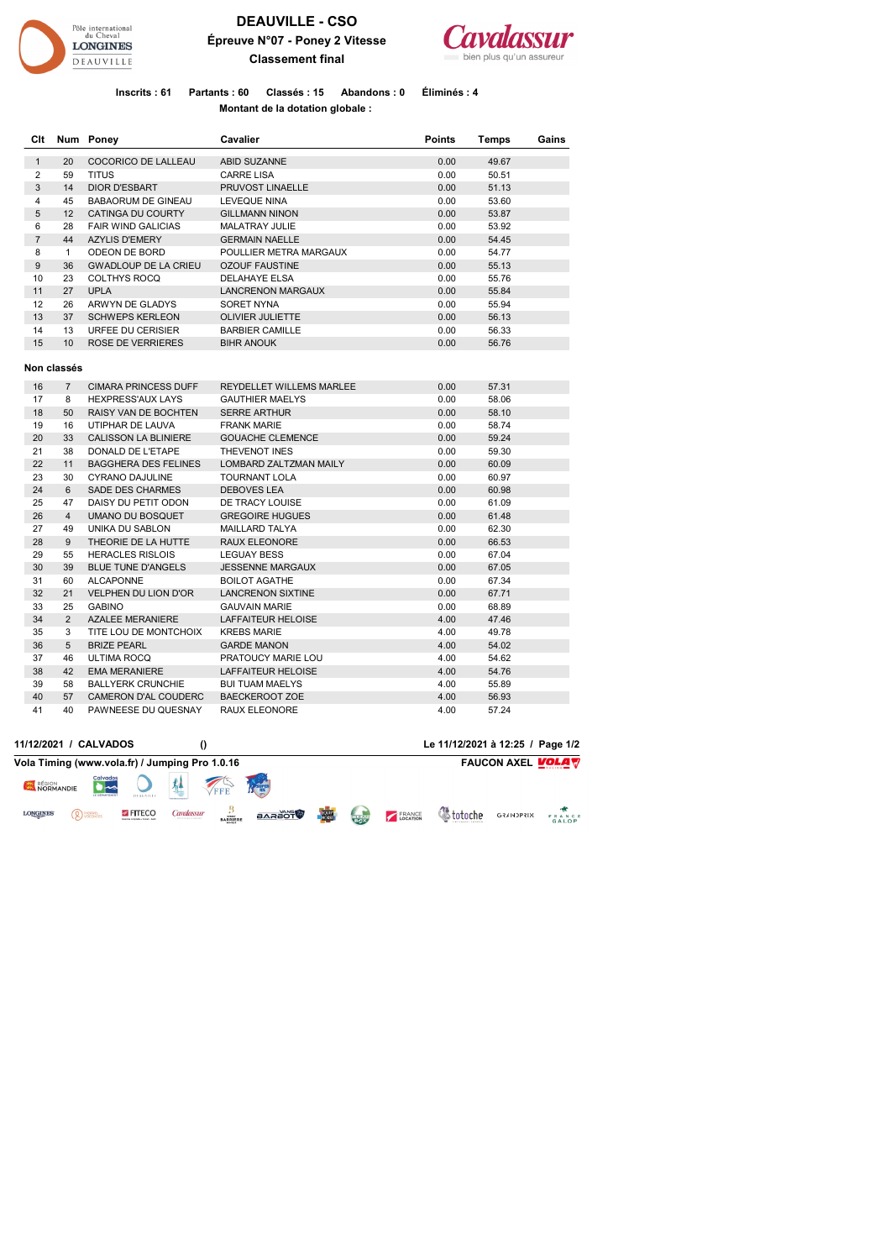

## **DEAUVILLE - CSO Épreuve N°07 - Poney 2 Vitesse Classement final**



**Inscrits : 61 Partants : 60 Classés : 15 Abandons : 0 Éliminés : 4 Montant de la dotation globale :** 

| Clt            |                                 | Num Poney                   | Cavalier                        |      | Temps | Gains |
|----------------|---------------------------------|-----------------------------|---------------------------------|------|-------|-------|
| $\mathbf{1}$   | 20                              | COCORICO DE LALLEAU         | ABID SUZANNE                    | 0.00 | 49.67 |       |
| $\overline{2}$ | 59                              | <b>TITUS</b>                | <b>CARRE LISA</b>               | 0.00 | 50.51 |       |
| $\mathbf{3}$   | 14                              | <b>DIOR D'ESBART</b>        | PRUVOST LINAELLE                | 0.00 | 51.13 |       |
| 4              | 45<br><b>BABAORUM DE GINEAU</b> |                             | <b>LEVEQUE NINA</b>             | 0.00 | 53.60 |       |
| 5              | 12                              | CATINGA DU COURTY           | <b>GILLMANN NINON</b>           | 0.00 | 53.87 |       |
| 6              | 28                              | <b>FAIR WIND GALICIAS</b>   | MALATRAY JULIE                  | 0.00 | 53.92 |       |
| $\overline{7}$ | 44                              | <b>AZYLIS D'EMERY</b>       | <b>GERMAIN NAELLE</b>           | 0.00 | 54.45 |       |
| 8              | $\mathbf{1}$                    | ODEON DE BORD               | POULLIER METRA MARGAUX          | 0.00 | 54.77 |       |
| 9              | 36                              | <b>GWADLOUP DE LA CRIEU</b> | <b>OZOUF FAUSTINE</b>           | 0.00 | 55.13 |       |
| 10             | 23                              | <b>COLTHYS ROCQ</b>         | <b>DELAHAYE ELSA</b>            | 0.00 | 55.76 |       |
| 11             | 27                              | <b>UPLA</b>                 | <b>LANCRENON MARGAUX</b>        | 0.00 | 55.84 |       |
| 12             | 26                              | ARWYN DE GLADYS             | SORET NYNA                      | 0.00 | 55.94 |       |
| 13             | 37                              | <b>SCHWEPS KERLEON</b>      | <b>OLIVIER JULIETTE</b>         | 0.00 | 56.13 |       |
| 14             | 13                              | URFEE DU CERISIER           | <b>BARBIER CAMILLE</b>          | 0.00 | 56.33 |       |
| 15             | 10                              | ROSE DE VERRIERES           | <b>BIHR ANOUK</b>               | 0.00 | 56.76 |       |
|                | Non classés                     |                             |                                 |      |       |       |
| 16             | $\overline{7}$                  | <b>CIMARA PRINCESS DUFF</b> | <b>REYDELLET WILLEMS MARLEE</b> | 0.00 | 57.31 |       |
| 17             | 8                               | <b>HEXPRESS'AUX LAYS</b>    | <b>GAUTHIER MAELYS</b>          | 0.00 | 58.06 |       |
| 18             | 50                              | RAISY VAN DE BOCHTEN        | <b>SERRE ARTHUR</b>             | 0.00 | 58.10 |       |
| 19             | 16                              | UTIPHAR DE LAUVA            | <b>FRANK MARIE</b>              | 0.00 | 58.74 |       |
| 20             | 33                              | <b>CALISSON LA BLINIERE</b> | <b>GOUACHE CLEMENCE</b>         | 0.00 | 59.24 |       |
| 21             | 38                              | DONALD DE L'ETAPE           | THEVENOT INES                   | 0.00 | 59.30 |       |
| 22             | 11                              | <b>BAGGHERA DES FELINES</b> | LOMBARD ZALTZMAN MAILY          | 0.00 | 60.09 |       |
| 23             | 30                              | <b>CYRANO DAJULINE</b>      | <b>TOURNANT LOLA</b>            | 0.00 | 60.97 |       |
| 24             | 6                               | <b>SADE DES CHARMES</b>     | <b>DEBOVES LEA</b>              | 0.00 | 60.98 |       |
| 25             | 47                              | DAISY DU PETIT ODON         | DE TRACY LOUISE                 | 0.00 | 61.09 |       |
| 26             | $\overline{4}$                  | <b>UMANO DU BOSQUET</b>     | <b>GREGOIRE HUGUES</b>          | 0.00 | 61.48 |       |
| 27             | 49                              | UNIKA DU SABLON             | MAILLARD TALYA                  | 0.00 | 62.30 |       |
| 28             | 9                               | THEORIE DE LA HUTTE         | RAUX ELEONORE                   | 0.00 | 66.53 |       |
| 29             | 55                              | <b>HERACLES RISLOIS</b>     | <b>LEGUAY BESS</b>              | 0.00 | 67.04 |       |
| 30             | 39                              | <b>BLUE TUNE D'ANGELS</b>   | <b>JESSENNE MARGAUX</b>         | 0.00 | 67.05 |       |
| 31             | 60                              | <b>ALCAPONNE</b>            | <b>BOILOT AGATHE</b>            | 0.00 | 67.34 |       |
| 32             | 21                              | <b>VELPHEN DU LION D'OR</b> | <b>LANCRENON SIXTINE</b>        | 0.00 | 67.71 |       |
| 33             | 25                              | <b>GABINO</b>               | <b>GAUVAIN MARIE</b>            | 0.00 | 68.89 |       |
| 34             | $\overline{2}$                  | <b>AZALEE MERANIERE</b>     | LAFFAITEUR HELOISE              | 4.00 | 47.46 |       |
| 35             | 3                               | TITE LOU DE MONTCHOIX       | <b>KREBS MARIE</b>              | 4.00 | 49.78 |       |
| 36             | 5                               | <b>BRIZE PEARL</b>          | <b>GARDE MANON</b>              | 4.00 | 54.02 |       |
| 37             | 46                              | <b>ULTIMA ROCQ</b>          | PRATOUCY MARIE LOU              | 4.00 | 54.62 |       |
| 38             | 42                              | <b>EMA MERANIERE</b>        | LAFFAITEUR HELOISE              | 4.00 | 54.76 |       |
| 39             | 58                              | <b>BALLYERK CRUNCHIE</b>    | <b>BUI TUAM MAELYS</b>          | 4.00 | 55.89 |       |
| 40             | 57                              | <b>CAMERON D'AL COUDERC</b> | <b>BAECKEROOT ZOE</b>           | 4.00 | 56.93 |       |
| 41             | 40                              | PAWNEESE DU QUESNAY         | <b>RAUX ELEONORE</b>            | 4.00 | 57.24 |       |

|                     | 11/12/2021 / CALVADOS                          |                                                      |            |                 |               |              |                                                                                                                                                                                                                                                                                                                                                                                                                      |               | Le 11/12/2021 à 12:25 / Page 1/2 |                          |                 |
|---------------------|------------------------------------------------|------------------------------------------------------|------------|-----------------|---------------|--------------|----------------------------------------------------------------------------------------------------------------------------------------------------------------------------------------------------------------------------------------------------------------------------------------------------------------------------------------------------------------------------------------------------------------------|---------------|----------------------------------|--------------------------|-----------------|
|                     | Vola Timing (www.vola.fr) / Jumping Pro 1.0.16 |                                                      |            |                 |               |              |                                                                                                                                                                                                                                                                                                                                                                                                                      |               |                                  | <b>FAUCON AXEL VOLAV</b> |                 |
| RÉGION<br>NORMANDIE | <b>Calvados</b><br>LE DÉPARTEMENT              |                                                      |            | FFE             |               |              |                                                                                                                                                                                                                                                                                                                                                                                                                      |               |                                  |                          |                 |
| <b>LONGINES</b>     | <b>Q</b> PICRRC.                               | <b>S</b> FITECO<br>Spectra consister - Consel - Audi | Cavalassur | <b>BARRIERE</b> | <b>BARAOT</b> | <b>FOUIP</b> | $\frac{1}{\sqrt{1+\frac{1}{2}}\sqrt{1+\frac{1}{2}}\sqrt{1+\frac{1}{2}}\sqrt{1+\frac{1}{2}}\sqrt{1+\frac{1}{2}}\sqrt{1+\frac{1}{2}}\sqrt{1+\frac{1}{2}}\sqrt{1+\frac{1}{2}}\sqrt{1+\frac{1}{2}}\sqrt{1+\frac{1}{2}}\sqrt{1+\frac{1}{2}}\sqrt{1+\frac{1}{2}}\sqrt{1+\frac{1}{2}}\sqrt{1+\frac{1}{2}}\sqrt{1+\frac{1}{2}}\sqrt{1+\frac{1}{2}}\sqrt{1+\frac{1}{2}}\sqrt{1+\frac{1}{2}}\sqrt{1+\frac{1}{2}}\sqrt{1+\frac$ | <b>ERANCE</b> | <b>&amp;</b> totoche             | <b>GRANDPRIX</b>         | FRANCE<br>GALOP |